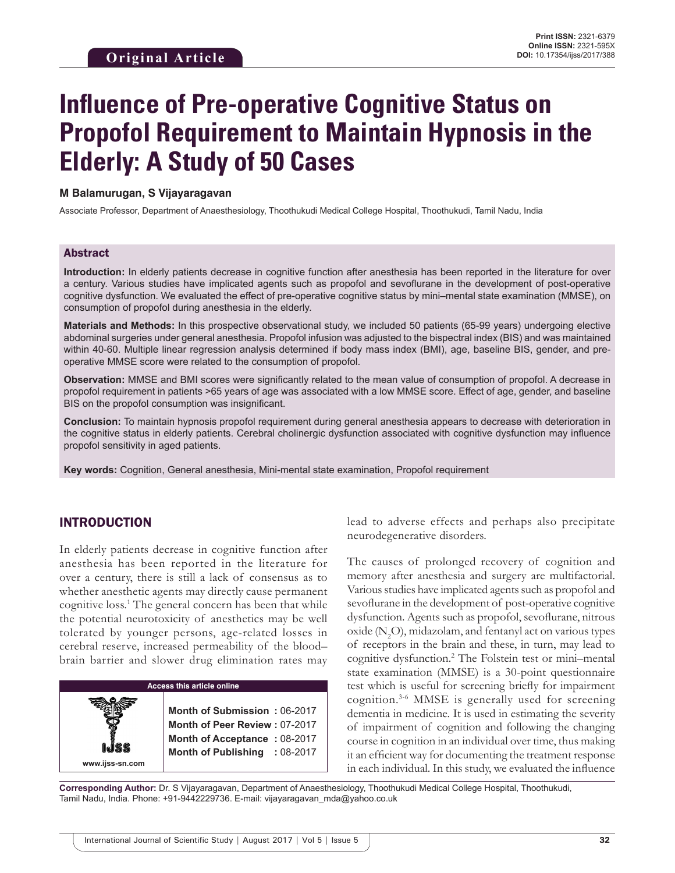# **Influence of Pre-operative Cognitive Status on Propofol Requirement to Maintain Hypnosis in the Elderly: A Study of 50 Cases**

#### **M Balamurugan, S Vijayaragavan**

Associate Professor, Department of Anaesthesiology, Thoothukudi Medical College Hospital, Thoothukudi, Tamil Nadu, India

#### Abstract

**Introduction:** In elderly patients decrease in cognitive function after anesthesia has been reported in the literature for over a century. Various studies have implicated agents such as propofol and sevoflurane in the development of post-operative cognitive dysfunction. We evaluated the effect of pre-operative cognitive status by mini–mental state examination (MMSE), on consumption of propofol during anesthesia in the elderly.

**Materials and Methods:** In this prospective observational study, we included 50 patients (65-99 years) undergoing elective abdominal surgeries under general anesthesia. Propofol infusion was adjusted to the bispectral index (BIS) and was maintained within 40-60. Multiple linear regression analysis determined if body mass index (BMI), age, baseline BIS, gender, and preoperative MMSE score were related to the consumption of propofol.

**Observation:** MMSE and BMI scores were significantly related to the mean value of consumption of propofol. A decrease in propofol requirement in patients >65 years of age was associated with a low MMSE score. Effect of age, gender, and baseline BIS on the propofol consumption was insignificant.

**Conclusion:** To maintain hypnosis propofol requirement during general anesthesia appears to decrease with deterioration in the cognitive status in elderly patients. Cerebral cholinergic dysfunction associated with cognitive dysfunction may influence propofol sensitivity in aged patients.

**Key words:** Cognition, General anesthesia, Mini-mental state examination, Propofol requirement

# INTRODUCTION

In elderly patients decrease in cognitive function after anesthesia has been reported in the literature for over a century, there is still a lack of consensus as to whether anesthetic agents may directly cause permanent cognitive loss.<sup>1</sup> The general concern has been that while the potential neurotoxicity of anesthetics may be well tolerated by younger persons, age-related losses in cerebral reserve, increased permeability of the blood– brain barrier and slower drug elimination rates may



lead to adverse effects and perhaps also precipitate neurodegenerative disorders.

The causes of prolonged recovery of cognition and memory after anesthesia and surgery are multifactorial. Various studies have implicated agents such as propofol and sevoflurane in the development of post-operative cognitive dysfunction. Agents such as propofol, sevoflurane, nitrous oxide  $(N_2O)$ , midazolam, and fentanyl act on various types of receptors in the brain and these, in turn, may lead to cognitive dysfunction.2 The Folstein test or mini–mental state examination (MMSE) is a 30-point questionnaire test which is useful for screening briefly for impairment cognition.3-6 MMSE is generally used for screening dementia in medicine. It is used in estimating the severity of impairment of cognition and following the changing course in cognition in an individual over time, thus making it an efficient way for documenting the treatment response in each individual. In this study, we evaluated the influence

**Corresponding Author:** Dr. S Vijayaragavan, Department of Anaesthesiology, Thoothukudi Medical College Hospital, Thoothukudi, Tamil Nadu, India. Phone: +91-9442229736. E-mail: vijayaragavan\_mda@yahoo.co.uk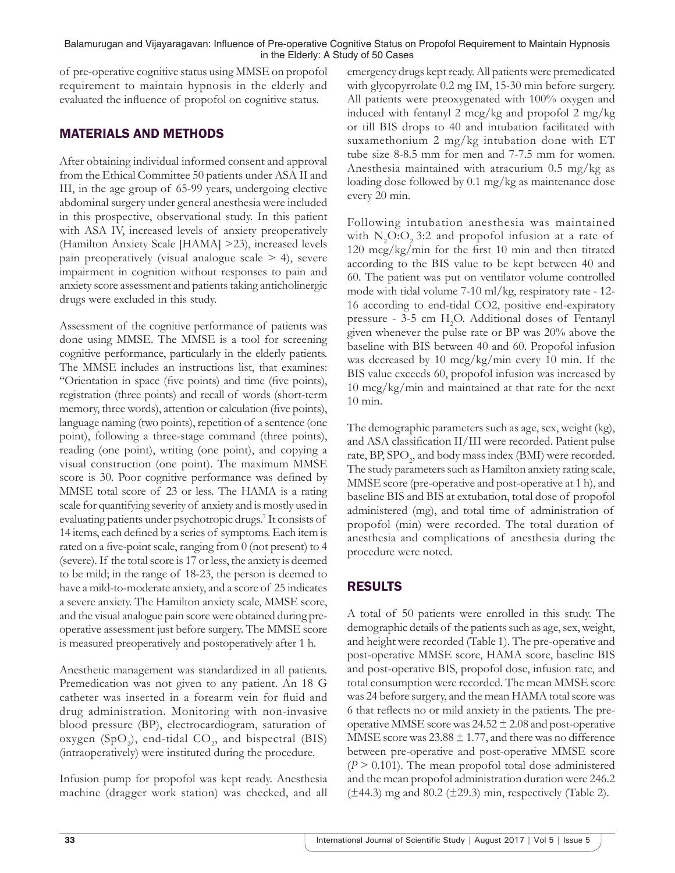#### Balamurugan and Vijayaragavan: Influence of Pre-operative Cognitive Status on Propofol Requirement to Maintain Hypnosis in the Elderly: A Study of 50 Cases

of pre-operative cognitive status using MMSE on propofol requirement to maintain hypnosis in the elderly and evaluated the influence of propofol on cognitive status.

# MATERIALS AND METHODS

After obtaining individual informed consent and approval from the Ethical Committee 50 patients under ASA II and III, in the age group of 65-99 years, undergoing elective abdominal surgery under general anesthesia were included in this prospective, observational study. In this patient with ASA IV, increased levels of anxiety preoperatively (Hamilton Anxiety Scale [HAMA] >23), increased levels pain preoperatively (visual analogue scale  $>$  4), severe impairment in cognition without responses to pain and anxiety score assessment and patients taking anticholinergic drugs were excluded in this study.

Assessment of the cognitive performance of patients was done using MMSE. The MMSE is a tool for screening cognitive performance, particularly in the elderly patients. The MMSE includes an instructions list, that examines: "Orientation in space (five points) and time (five points), registration (three points) and recall of words (short-term memory, three words), attention or calculation (five points), language naming (two points), repetition of a sentence (one point), following a three-stage command (three points), reading (one point), writing (one point), and copying a visual construction (one point). The maximum MMSE score is 30. Poor cognitive performance was defined by MMSE total score of 23 or less. The HAMA is a rating scale for quantifying severity of anxiety and is mostly used in evaluating patients under psychotropic drugs.<sup>7</sup> It consists of 14 items, each defined by a series of symptoms. Each item is rated on a five-point scale, ranging from 0 (not present) to 4 (severe). If the total score is 17 or less, the anxiety is deemed to be mild; in the range of 18-23, the person is deemed to have a mild-to-moderate anxiety, and a score of 25 indicates a severe anxiety. The Hamilton anxiety scale, MMSE score, and the visual analogue pain score were obtained during preoperative assessment just before surgery. The MMSE score is measured preoperatively and postoperatively after 1 h.

Anesthetic management was standardized in all patients. Premedication was not given to any patient. An 18 G catheter was inserted in a forearm vein for fluid and drug administration. Monitoring with non-invasive blood pressure (BP), electrocardiogram, saturation of oxygen (SpO<sub>2</sub>), end-tidal  $CO_2$ , and bispectral (BIS) (intraoperatively) were instituted during the procedure.

Infusion pump for propofol was kept ready. Anesthesia machine (dragger work station) was checked, and all emergency drugs kept ready. All patients were premedicated with glycopyrrolate 0.2 mg IM, 15-30 min before surgery. All patients were preoxygenated with 100% oxygen and induced with fentanyl 2 mcg/kg and propofol 2 mg/kg or till BIS drops to 40 and intubation facilitated with suxamethonium 2 mg/kg intubation done with ET tube size 8-8.5 mm for men and 7-7.5 mm for women. Anesthesia maintained with atracurium 0.5 mg/kg as loading dose followed by 0.1 mg/kg as maintenance dose every 20 min.

Following intubation anesthesia was maintained with  $N_2O:O_2$  3:2 and propofol infusion at a rate of 120 mcg/kg/min for the first 10 min and then titrated according to the BIS value to be kept between 40 and 60. The patient was put on ventilator volume controlled mode with tidal volume 7-10 ml/kg, respiratory rate - 12- 16 according to end-tidal CO2, positive end-expiratory pressure - 3-5 cm H<sub>2</sub>O. Additional doses of Fentanyl given whenever the pulse rate or BP was 20% above the baseline with BIS between 40 and 60. Propofol infusion was decreased by 10 mcg/kg/min every 10 min. If the BIS value exceeds 60, propofol infusion was increased by 10 mcg/kg/min and maintained at that rate for the next 10 min.

The demographic parameters such as age, sex, weight (kg), and ASA classification II/III were recorded. Patient pulse rate,  $BP$ ,  $SPO_2$ , and body mass index (BMI) were recorded. The study parameters such as Hamilton anxiety rating scale, MMSE score (pre-operative and post-operative at 1 h), and baseline BIS and BIS at extubation, total dose of propofol administered (mg), and total time of administration of propofol (min) were recorded. The total duration of anesthesia and complications of anesthesia during the procedure were noted.

# RESULTS

A total of 50 patients were enrolled in this study. The demographic details of the patients such as age, sex, weight, and height were recorded (Table 1). The pre-operative and post-operative MMSE score, HAMA score, baseline BIS and post-operative BIS, propofol dose, infusion rate, and total consumption were recorded. The mean MMSE score was 24 before surgery, and the mean HAMA total score was 6 that reflects no or mild anxiety in the patients. The preoperative MMSE score was  $24.52 \pm 2.08$  and post-operative MMSE score was  $23.88 \pm 1.77$ , and there was no difference between pre-operative and post-operative MMSE score  $(P > 0.101)$ . The mean propofol total dose administered and the mean propofol administration duration were 246.2  $(\pm 44.3)$  mg and 80.2  $(\pm 29.3)$  min, respectively (Table 2).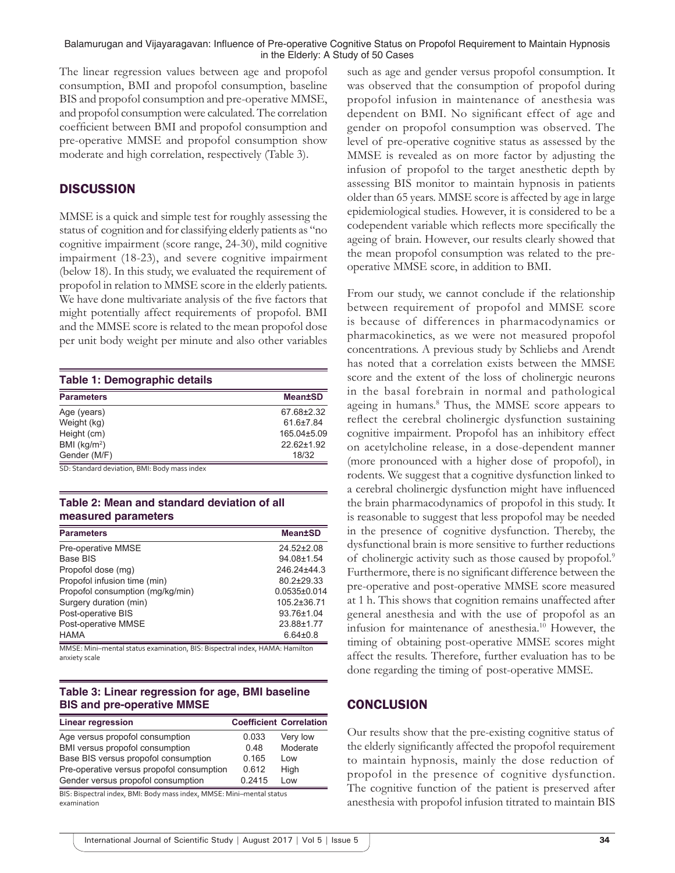#### Balamurugan and Vijayaragavan: Influence of Pre-operative Cognitive Status on Propofol Requirement to Maintain Hypnosis in the Elderly: A Study of 50 Cases

The linear regression values between age and propofol consumption, BMI and propofol consumption, baseline BIS and propofol consumption and pre-operative MMSE, and propofol consumption were calculated. The correlation coefficient between BMI and propofol consumption and pre-operative MMSE and propofol consumption show moderate and high correlation, respectively (Table 3).

## **DISCUSSION**

MMSE is a quick and simple test for roughly assessing the status of cognition and for classifying elderly patients as "no cognitive impairment (score range, 24-30), mild cognitive impairment (18-23), and severe cognitive impairment (below 18). In this study, we evaluated the requirement of propofol in relation to MMSE score in the elderly patients. We have done multivariate analysis of the five factors that might potentially affect requirements of propofol. BMI and the MMSE score is related to the mean propofol dose per unit body weight per minute and also other variables

| Table 1: Demographic details |                 |  |
|------------------------------|-----------------|--|
| <b>Parameters</b>            | <b>Mean±SD</b>  |  |
| Age (years)                  | 67.68±2.32      |  |
| Weight (kg)                  | $61.6{\pm}7.84$ |  |
| Height (cm)                  | 165.04±5.09     |  |
| BMI $(kg/m2)$                | 22.62±1.92      |  |
| Gender (M/F)                 | 18/32           |  |

SD: Standard deviation, BMI: Body mass index

#### **Table 2: Mean and standard deviation of all measured parameters**

| <b>Parameters</b>                | <b>Mean±SD</b>   |
|----------------------------------|------------------|
| Pre-operative MMSE               | 24.52±2.08       |
| Base BIS                         | 94.08±1.54       |
| Propofol dose (mg)               | 246.24±44.3      |
| Propofol infusion time (min)     | $80.2 \pm 29.33$ |
| Propofol consumption (mg/kg/min) | $0.0535\pm0.014$ |
| Surgery duration (min)           | 105.2±36.71      |
| Post-operative BIS               | 93.76±1.04       |
| Post-operative MMSE              | 23.88±1.77       |
| <b>HAMA</b>                      | $6.64 \pm 0.8$   |

MMSE: Mini–mental status examination, BIS: Bispectral index, HAMA: Hamilton anxiety scale

## **Table 3: Linear regression for age, BMI baseline BIS and pre‑operative MMSE**

| <b>Linear regression</b>                  |        | <b>Coefficient Correlation</b> |
|-------------------------------------------|--------|--------------------------------|
| Age versus propofol consumption           | 0.033  | Very low                       |
| BMI versus propofol consumption           | 0.48   | Moderate                       |
| Base BIS versus propofol consumption      | 0.165  | Low                            |
| Pre-operative versus propofol consumption | 0.612  | High                           |
| Gender versus propofol consumption        | 0.2415 | Low                            |

BIS: Bispectral index, BMI: Body mass index, MMSE: Mini–mental status examination

such as age and gender versus propofol consumption. It was observed that the consumption of propofol during propofol infusion in maintenance of anesthesia was dependent on BMI. No significant effect of age and gender on propofol consumption was observed. The level of pre-operative cognitive status as assessed by the MMSE is revealed as on more factor by adjusting the infusion of propofol to the target anesthetic depth by assessing BIS monitor to maintain hypnosis in patients older than 65 years. MMSE score is affected by age in large epidemiological studies. However, it is considered to be a codependent variable which reflects more specifically the ageing of brain. However, our results clearly showed that the mean propofol consumption was related to the preoperative MMSE score, in addition to BMI.

From our study, we cannot conclude if the relationship between requirement of propofol and MMSE score is because of differences in pharmacodynamics or pharmacokinetics, as we were not measured propofol concentrations. A previous study by Schliebs and Arendt has noted that a correlation exists between the MMSE score and the extent of the loss of cholinergic neurons in the basal forebrain in normal and pathological ageing in humans.<sup>8</sup> Thus, the MMSE score appears to reflect the cerebral cholinergic dysfunction sustaining cognitive impairment. Propofol has an inhibitory effect on acetylcholine release, in a dose-dependent manner (more pronounced with a higher dose of propofol), in rodents. We suggest that a cognitive dysfunction linked to a cerebral cholinergic dysfunction might have influenced the brain pharmacodynamics of propofol in this study. It is reasonable to suggest that less propofol may be needed in the presence of cognitive dysfunction. Thereby, the dysfunctional brain is more sensitive to further reductions of cholinergic activity such as those caused by propofol.<sup>9</sup> Furthermore, there is no significant difference between the pre-operative and post-operative MMSE score measured at 1 h. This shows that cognition remains unaffected after general anesthesia and with the use of propofol as an infusion for maintenance of anesthesia.10 However, the timing of obtaining post-operative MMSE scores might affect the results. Therefore, further evaluation has to be done regarding the timing of post-operative MMSE.

# **CONCLUSION**

Our results show that the pre-existing cognitive status of the elderly significantly affected the propofol requirement to maintain hypnosis, mainly the dose reduction of propofol in the presence of cognitive dysfunction. The cognitive function of the patient is preserved after anesthesia with propofol infusion titrated to maintain BIS